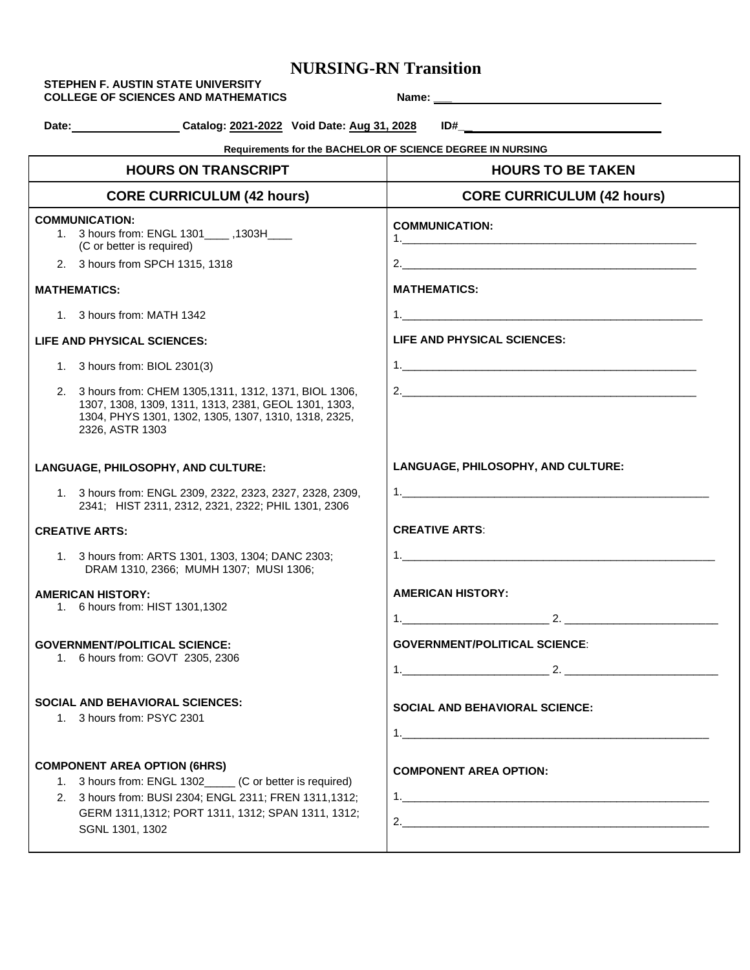## **NURSING-RN Transition**

|                             | Date: Catalog: 2021-2022 Void Date: Aug 31, 2028                                                                                                                                            |                                                            |
|-----------------------------|---------------------------------------------------------------------------------------------------------------------------------------------------------------------------------------------|------------------------------------------------------------|
|                             |                                                                                                                                                                                             | Requirements for the BACHELOR OF SCIENCE DEGREE IN NURSING |
|                             | <b>HOURS ON TRANSCRIPT</b>                                                                                                                                                                  | <b>HOURS TO BE TAKEN</b>                                   |
|                             | <b>CORE CURRICULUM (42 hours)</b>                                                                                                                                                           | <b>CORE CURRICULUM (42 hours)</b>                          |
|                             | <b>COMMUNICATION:</b><br>1. 3 hours from: ENGL 1301_____ ,1303H____<br>(C or better is required)                                                                                            | <b>COMMUNICATION:</b>                                      |
|                             | 2. 3 hours from SPCH 1315, 1318                                                                                                                                                             |                                                            |
|                             | <b>MATHEMATICS:</b>                                                                                                                                                                         | <b>MATHEMATICS:</b>                                        |
|                             | 1. 3 hours from: MATH 1342                                                                                                                                                                  | 1.                                                         |
| LIFE AND PHYSICAL SCIENCES: |                                                                                                                                                                                             | LIFE AND PHYSICAL SCIENCES:                                |
|                             | 1. 3 hours from: BIOL 2301(3)                                                                                                                                                               |                                                            |
|                             | 2. 3 hours from: CHEM 1305, 1311, 1312, 1371, BIOL 1306,<br>1307, 1308, 1309, 1311, 1313, 2381, GEOL 1301, 1303,<br>1304, PHYS 1301, 1302, 1305, 1307, 1310, 1318, 2325,<br>2326, ASTR 1303 |                                                            |
|                             | LANGUAGE, PHILOSOPHY, AND CULTURE:                                                                                                                                                          | LANGUAGE, PHILOSOPHY, AND CULTURE:                         |
|                             | 1. 3 hours from: ENGL 2309, 2322, 2323, 2327, 2328, 2309,<br>2341; HIST 2311, 2312, 2321, 2322; PHIL 1301, 2306                                                                             |                                                            |
|                             | <b>CREATIVE ARTS:</b>                                                                                                                                                                       | <b>CREATIVE ARTS:</b>                                      |
|                             | 1. 3 hours from: ARTS 1301, 1303, 1304; DANC 2303;<br>DRAM 1310, 2366; MUMH 1307; MUSI 1306;                                                                                                |                                                            |
|                             | <b>AMERICAN HISTORY:</b>                                                                                                                                                                    | <b>AMERICAN HISTORY:</b>                                   |
|                             | 1. 6 hours from: HIST 1301,1302                                                                                                                                                             | $\frac{1}{2}$ 2.<br>1.                                     |
|                             | <b>GOVERNMENT/POLITICAL SCIENCE:</b>                                                                                                                                                        | <b>GOVERNMENT/POLITICAL SCIENCE:</b>                       |
|                             | 1. 6 hours from: GOVT 2305, 2306                                                                                                                                                            |                                                            |
|                             | <b>SOCIAL AND BEHAVIORAL SCIENCES:</b>                                                                                                                                                      | <b>SOCIAL AND BEHAVIORAL SCIENCE:</b>                      |
|                             | 1. 3 hours from: PSYC 2301                                                                                                                                                                  |                                                            |
|                             |                                                                                                                                                                                             |                                                            |
|                             | <b>COMPONENT AREA OPTION (6HRS)</b>                                                                                                                                                         | <b>COMPONENT AREA OPTION:</b>                              |
|                             | 1. 3 hours from: ENGL 1302_____ (C or better is required)<br>2. 3 hours from: BUSI 2304; ENGL 2311; FREN 1311,1312;                                                                         |                                                            |
|                             | GERM 1311, 1312; PORT 1311, 1312; SPAN 1311, 1312;<br>SGNL 1301, 1302                                                                                                                       |                                                            |